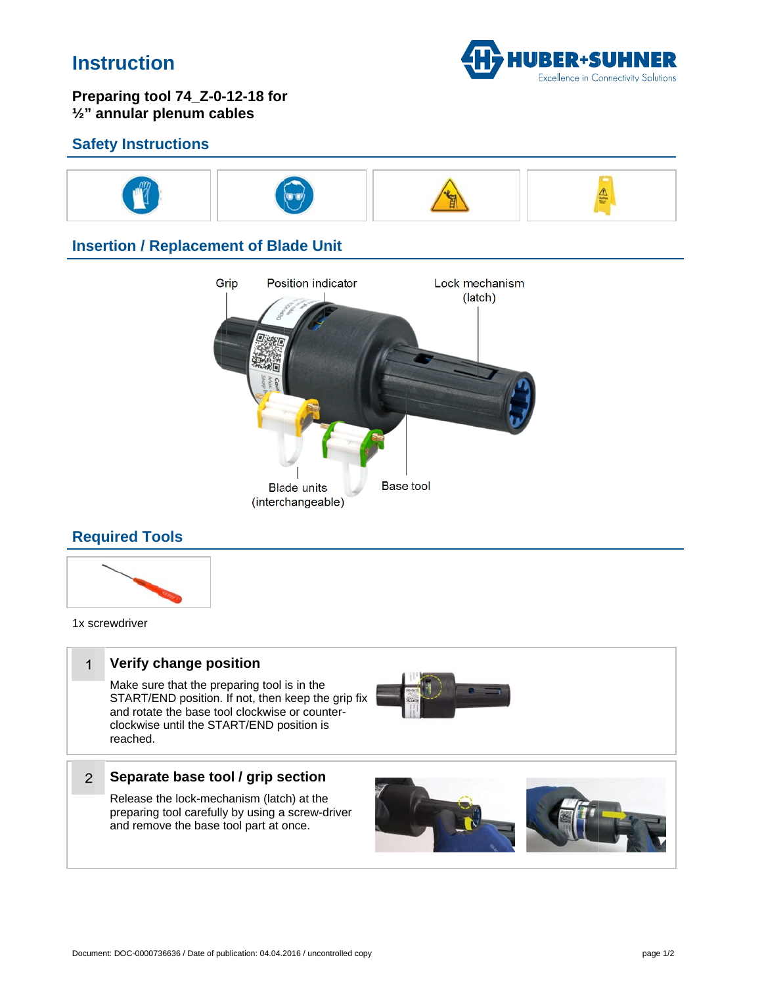# **Instruction**



### Preparing tool 74\_Z-0-12-18 for 1/2" annular plenum cables

### **Safety Instructions**



## **Insertion / Replacement of Blade Unit**



## **Required Tools**



1x screwdriver

### Verify change position  $\overline{1}$

Make sure that the preparing tool is in the START/END position. If not, then keep the grip fix and rotate the base tool clockwise or counterclockwise until the START/END position is reached.



### Separate base tool / grip section  $\overline{2}$

Release the lock-mechanism (latch) at the preparing tool carefully by using a screw-driver and remove the base tool part at once.